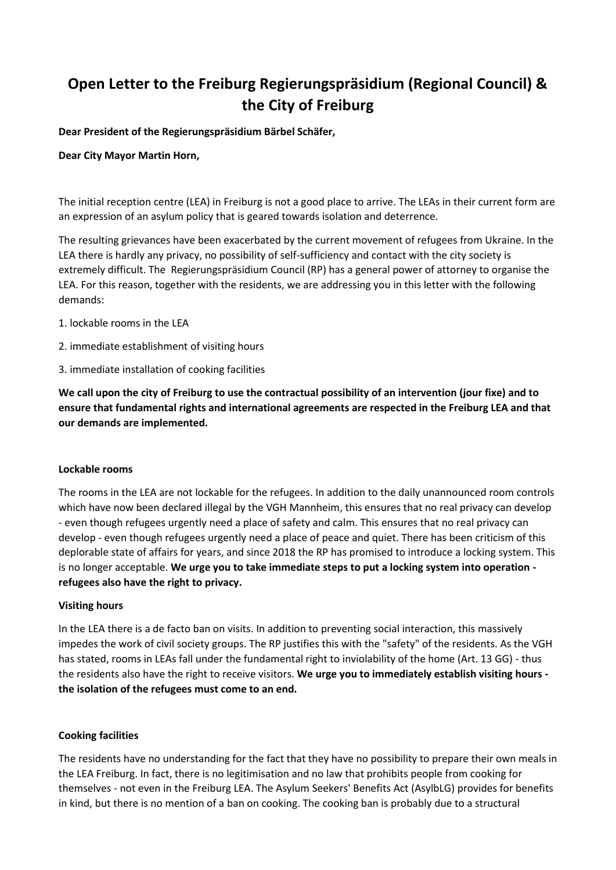# **Open Letter to the Freiburg Regierungspräsidium (Regional Council) & the City of Freiburg**

**Dear President of the Regierungspräsidium Bärbel Schäfer,**

# **Dear City Mayor Martin Horn,**

The initial reception centre (LEA) in Freiburg is not a good place to arrive. The LEAs in their current form are an expression of an asylum policy that is geared towards isolation and deterrence.

The resulting grievances have been exacerbated by the current movement of refugees from Ukraine. In the LEA there is hardly any privacy, no possibility of self-sufficiency and contact with the city society is extremely difficult. The Regierungspräsidium Council (RP) has a general power of attorney to organise the LEA. For this reason, together with the residents, we are addressing you in this letter with the following demands:

- 1. lockable rooms in the LEA
- 2. immediate establishment of visiting hours
- 3. immediate installation of cooking facilities

**We call upon the city of Freiburg to use the contractual possibility of an intervention (jour fixe) and to ensure that fundamental rights and international agreements are respected in the Freiburg LEA and that our demands are implemented.**

### **Lockable rooms**

The rooms in the LEA are not lockable for the refugees. In addition to the daily unannounced room controls which have now been declared illegal by the VGH Mannheim, this ensures that no real privacy can develop - even though refugees urgently need a place of safety and calm. This ensures that no real privacy can develop - even though refugees urgently need a place of peace and quiet. There has been criticism of this deplorable state of affairs for years, and since 2018 the RP has promised to introduce a locking system. This is no longer acceptable. **We urge you to take immediate steps to put a locking system into operation refugees also have the right to privacy.**

### **Visiting hours**

In the LEA there is a de facto ban on visits. In addition to preventing social interaction, this massively impedes the work of civil society groups. The RP justifies this with the "safety" of the residents. As the VGH has stated, rooms in LEAs fall under the fundamental right to inviolability of the home (Art. 13 GG) - thus the residents also have the right to receive visitors. **We urge you to immediately establish visiting hours the isolation of the refugees must come to an end.**

### **Cooking facilities**

The residents have no understanding for the fact that they have no possibility to prepare their own meals in the LEA Freiburg. In fact, there is no legitimisation and no law that prohibits people from cooking for themselves - not even in the Freiburg LEA. The Asylum Seekers' Benefits Act (AsylbLG) provides for benefits in kind, but there is no mention of a ban on cooking. The cooking ban is probably due to a structural